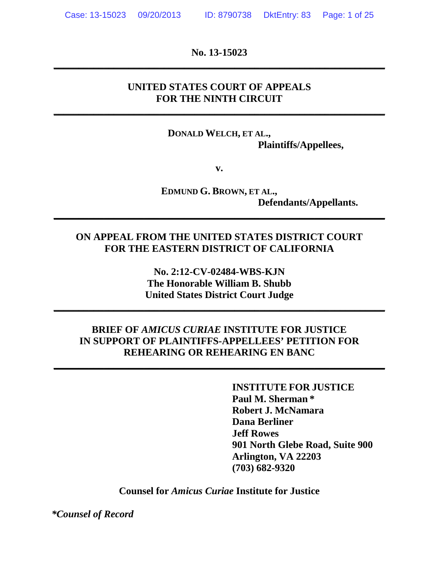**No. 13-15023 \_\_\_\_\_\_\_\_\_\_\_\_\_\_\_\_\_\_\_\_\_\_\_\_\_\_\_\_\_\_\_\_\_\_\_\_\_\_\_\_\_\_\_\_\_\_\_\_\_\_\_\_\_\_\_\_\_\_\_\_\_\_\_\_\_\_**

## **UNITED STATES COURT OF APPEALS FOR THE NINTH CIRCUIT**

**\_\_\_\_\_\_\_\_\_\_\_\_\_\_\_\_\_\_\_\_\_\_\_\_\_\_\_\_\_\_\_\_\_\_\_\_\_\_\_\_\_\_\_\_\_\_\_\_\_\_\_\_\_\_\_\_\_\_\_\_\_\_\_\_\_\_**

**DONALD WELCH, ET AL., Plaintiffs/Appellees,**

**v.**

**EDMUND G. BROWN, ET AL., Defendants/Appellants.**

# **ON APPEAL FROM THE UNITED STATES DISTRICT COURT FOR THE EASTERN DISTRICT OF CALIFORNIA**

**\_\_\_\_\_\_\_\_\_\_\_\_\_\_\_\_\_\_\_\_\_\_\_\_\_\_\_\_\_\_\_\_\_\_\_\_\_\_\_\_\_\_\_\_\_\_\_\_\_\_\_\_\_\_\_\_\_\_\_\_\_\_\_\_\_\_**

**No. 2:12-CV-02484-WBS-KJN The Honorable William B. Shubb United States District Court Judge**

**\_\_\_\_\_\_\_\_\_\_\_\_\_\_\_\_\_\_\_\_\_\_\_\_\_\_\_\_\_\_\_\_\_\_\_\_\_\_\_\_\_\_\_\_\_\_\_\_\_\_\_\_\_\_\_\_\_\_\_\_\_\_\_\_\_\_**

## **BRIEF OF** *AMICUS CURIAE* **INSTITUTE FOR JUSTICE IN SUPPORT OF PLAINTIFFS-APPELLEES' PETITION FOR REHEARING OR REHEARING EN BANC**

**\_\_\_\_\_\_\_\_\_\_\_\_\_\_\_\_\_\_\_\_\_\_\_\_\_\_\_\_\_\_\_\_\_\_\_\_\_\_\_\_\_\_\_\_\_\_\_\_\_\_\_\_\_\_\_\_\_\_\_\_\_\_\_\_\_\_**

**INSTITUTE FOR JUSTICE Paul M. Sherman \* Robert J. McNamara Dana Berliner Jeff Rowes 901 North Glebe Road, Suite 900 Arlington, VA 22203 (703) 682-9320**

**Counsel for** *Amicus Curiae* **Institute for Justice**

*\*Counsel of Record*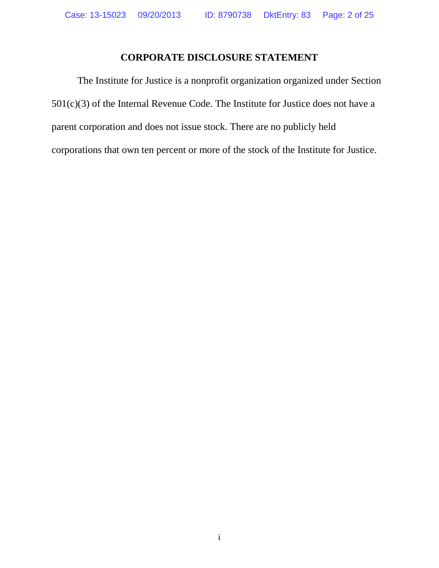### **CORPORATE DISCLOSURE STATEMENT**

The Institute for Justice is a nonprofit organization organized under Section 501(c)(3) of the Internal Revenue Code. The Institute for Justice does not have a parent corporation and does not issue stock. There are no publicly held corporations that own ten percent or more of the stock of the Institute for Justice.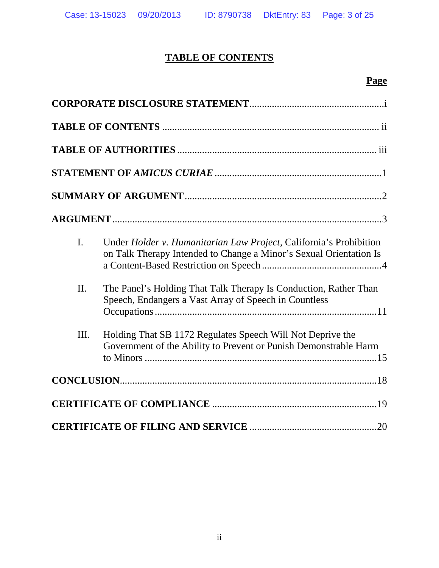# **TABLE OF CONTENTS**

# **Page**

| $\mathbf{I}$ . | Under Holder v. Humanitarian Law Project, California's Prohibition<br>on Talk Therapy Intended to Change a Minor's Sexual Orientation Is |
|----------------|------------------------------------------------------------------------------------------------------------------------------------------|
| II.            | The Panel's Holding That Talk Therapy Is Conduction, Rather Than<br>Speech, Endangers a Vast Array of Speech in Countless                |
| III.           | Holding That SB 1172 Regulates Speech Will Not Deprive the<br>Government of the Ability to Prevent or Punish Demonstrable Harm           |
|                |                                                                                                                                          |
|                |                                                                                                                                          |
|                |                                                                                                                                          |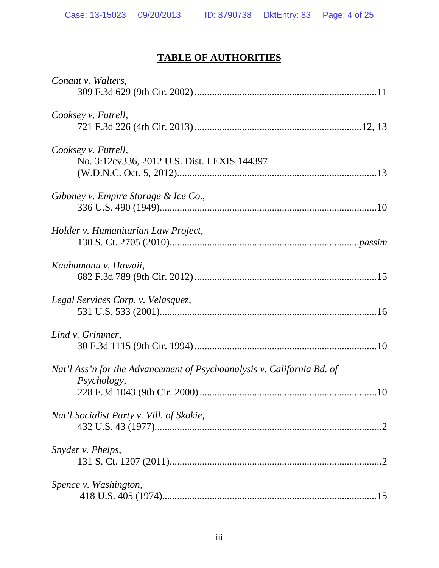# **TABLE OF AUTHORITIES**

| Conant v. Walters,                                                     |
|------------------------------------------------------------------------|
|                                                                        |
| Cooksey v. Futrell,                                                    |
|                                                                        |
| Cooksey v. Futrell,                                                    |
| No. 3:12cv336, 2012 U.S. Dist. LEXIS 144397                            |
|                                                                        |
| Giboney v. Empire Storage & Ice Co.,                                   |
|                                                                        |
|                                                                        |
| Holder v. Humanitarian Law Project,                                    |
|                                                                        |
| Kaahumanu v. Hawaii,                                                   |
|                                                                        |
| Legal Services Corp. v. Velasquez,                                     |
|                                                                        |
|                                                                        |
| Lind v. Grimmer,                                                       |
|                                                                        |
| Nat'l Ass'n for the Advancement of Psychoanalysis v. California Bd. of |
| Psychology,                                                            |
|                                                                        |
| Nat'l Socialist Party v. Vill. of Skokie,                              |
|                                                                        |
| Snyder v. Phelps,                                                      |
|                                                                        |
| Spence v. Washington,                                                  |
|                                                                        |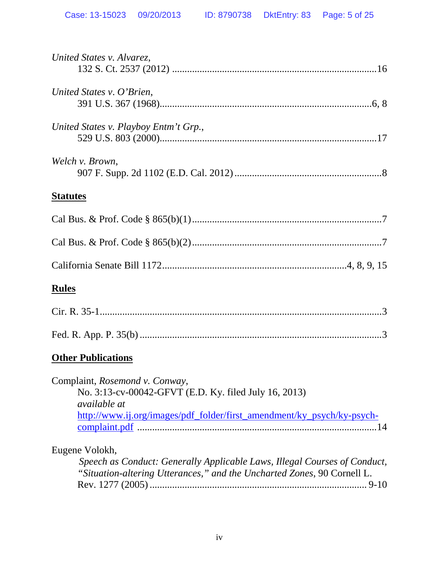| United States v. Alvarez,                                                                                                                                                         |
|-----------------------------------------------------------------------------------------------------------------------------------------------------------------------------------|
| United States v. O'Brien,                                                                                                                                                         |
| United States v. Playboy Entm't Grp.,                                                                                                                                             |
| Welch v. Brown,                                                                                                                                                                   |
| <b>Statutes</b>                                                                                                                                                                   |
|                                                                                                                                                                                   |
|                                                                                                                                                                                   |
|                                                                                                                                                                                   |
| <u>Rules</u>                                                                                                                                                                      |
|                                                                                                                                                                                   |
|                                                                                                                                                                                   |
| <b>Other Publications</b>                                                                                                                                                         |
| Complaint, Rosemond v. Conway,<br>No. 3:13-cv-00042-GFVT (E.D. Ky. filed July 16, 2013)<br>available at<br>http://www.ij.org/images/pdf_folder/first_amendment/ky_psych/ky-psych- |
| Eugene Volokh,<br>Speech as Conduct: Generally Applicable Laws, Illegal Courses of Conduct,<br>"Situation-altering Utterances," and the Uncharted Zones, 90 Cornell L.            |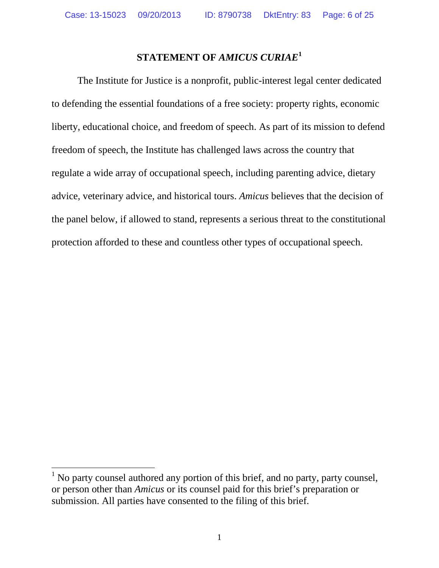# **STATEMENT OF** *AMICUS CURIAE***[1](#page-5-0)**

The Institute for Justice is a nonprofit, public-interest legal center dedicated to defending the essential foundations of a free society: property rights, economic liberty, educational choice, and freedom of speech. As part of its mission to defend freedom of speech, the Institute has challenged laws across the country that regulate a wide array of occupational speech, including parenting advice, dietary advice, veterinary advice, and historical tours. *Amicus* believes that the decision of the panel below, if allowed to stand, represents a serious threat to the constitutional protection afforded to these and countless other types of occupational speech.

 $\overline{a}$ 

<span id="page-5-0"></span> $<sup>1</sup>$  No party counsel authored any portion of this brief, and no party, party counsel,</sup> or person other than *Amicus* or its counsel paid for this brief's preparation or submission. All parties have consented to the filing of this brief.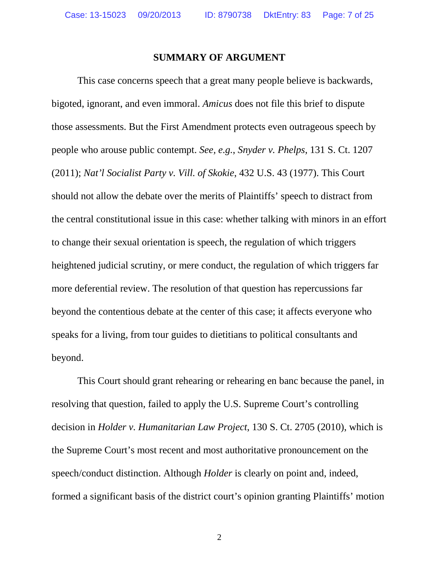#### **SUMMARY OF ARGUMENT**

This case concerns speech that a great many people believe is backwards, bigoted, ignorant, and even immoral. *Amicus* does not file this brief to dispute those assessments. But the First Amendment protects even outrageous speech by people who arouse public contempt. *See, e.g.*, *Snyder v. Phelps*, 131 S. Ct. 1207 (2011); *Nat'l Socialist Party v. Vill. of Skokie*, 432 U.S. 43 (1977). This Court should not allow the debate over the merits of Plaintiffs' speech to distract from the central constitutional issue in this case: whether talking with minors in an effort to change their sexual orientation is speech, the regulation of which triggers heightened judicial scrutiny, or mere conduct, the regulation of which triggers far more deferential review. The resolution of that question has repercussions far beyond the contentious debate at the center of this case; it affects everyone who speaks for a living, from tour guides to dietitians to political consultants and beyond.

This Court should grant rehearing or rehearing en banc because the panel, in resolving that question, failed to apply the U.S. Supreme Court's controlling decision in *Holder v. Humanitarian Law Project*, 130 S. Ct. 2705 (2010), which is the Supreme Court's most recent and most authoritative pronouncement on the speech/conduct distinction. Although *Holder* is clearly on point and, indeed, formed a significant basis of the district court's opinion granting Plaintiffs' motion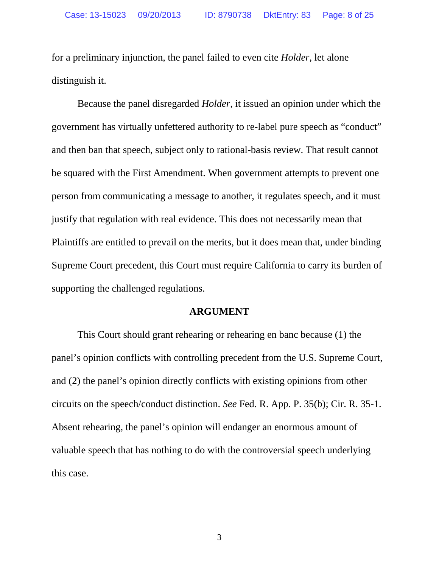for a preliminary injunction, the panel failed to even cite *Holder*, let alone distinguish it.

Because the panel disregarded *Holder*, it issued an opinion under which the government has virtually unfettered authority to re-label pure speech as "conduct" and then ban that speech, subject only to rational-basis review. That result cannot be squared with the First Amendment. When government attempts to prevent one person from communicating a message to another, it regulates speech, and it must justify that regulation with real evidence. This does not necessarily mean that Plaintiffs are entitled to prevail on the merits, but it does mean that, under binding Supreme Court precedent, this Court must require California to carry its burden of supporting the challenged regulations.

#### **ARGUMENT**

This Court should grant rehearing or rehearing en banc because (1) the panel's opinion conflicts with controlling precedent from the U.S. Supreme Court, and (2) the panel's opinion directly conflicts with existing opinions from other circuits on the speech/conduct distinction. *See* Fed. R. App. P. 35(b); Cir. R. 35-1. Absent rehearing, the panel's opinion will endanger an enormous amount of valuable speech that has nothing to do with the controversial speech underlying this case.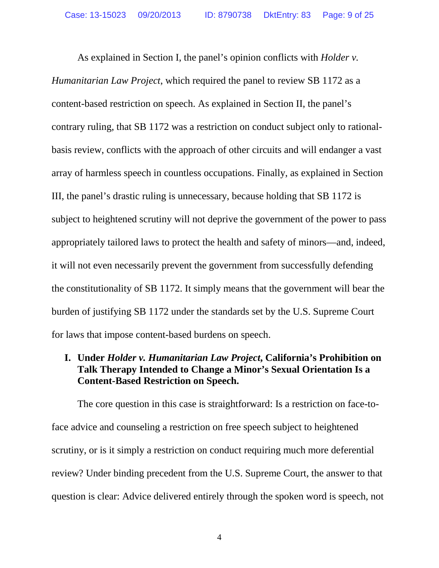As explained in Section I, the panel's opinion conflicts with *Holder v. Humanitarian Law Project*, which required the panel to review SB 1172 as a content-based restriction on speech. As explained in Section II, the panel's contrary ruling, that SB 1172 was a restriction on conduct subject only to rationalbasis review, conflicts with the approach of other circuits and will endanger a vast array of harmless speech in countless occupations. Finally, as explained in Section III, the panel's drastic ruling is unnecessary, because holding that SB 1172 is subject to heightened scrutiny will not deprive the government of the power to pass appropriately tailored laws to protect the health and safety of minors—and, indeed, it will not even necessarily prevent the government from successfully defending the constitutionality of SB 1172. It simply means that the government will bear the burden of justifying SB 1172 under the standards set by the U.S. Supreme Court for laws that impose content-based burdens on speech.

# **I. Under** *Holder v. Humanitarian Law Project***, California's Prohibition on Talk Therapy Intended to Change a Minor's Sexual Orientation Is a Content-Based Restriction on Speech.**

The core question in this case is straightforward: Is a restriction on face-toface advice and counseling a restriction on free speech subject to heightened scrutiny, or is it simply a restriction on conduct requiring much more deferential review? Under binding precedent from the U.S. Supreme Court, the answer to that question is clear: Advice delivered entirely through the spoken word is speech, not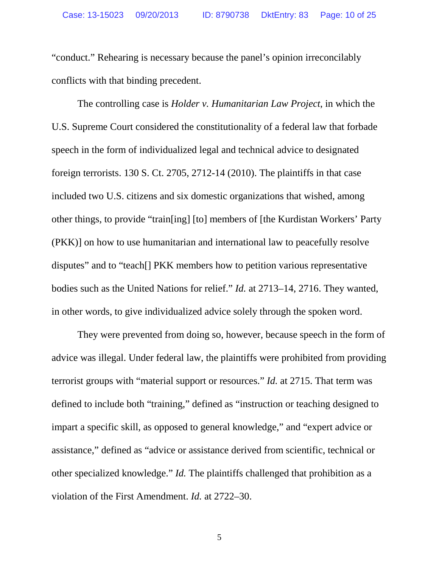"conduct." Rehearing is necessary because the panel's opinion irreconcilably conflicts with that binding precedent.

The controlling case is *Holder v. Humanitarian Law Project*, in which the U.S. Supreme Court considered the constitutionality of a federal law that forbade speech in the form of individualized legal and technical advice to designated foreign terrorists. 130 S. Ct. 2705, 2712-14 (2010). The plaintiffs in that case included two U.S. citizens and six domestic organizations that wished, among other things, to provide "train[ing] [to] members of [the Kurdistan Workers' Party (PKK)] on how to use humanitarian and international law to peacefully resolve disputes" and to "teach[] PKK members how to petition various representative bodies such as the United Nations for relief." *Id.* at 2713–14, 2716. They wanted, in other words, to give individualized advice solely through the spoken word.

They were prevented from doing so, however, because speech in the form of advice was illegal. Under federal law, the plaintiffs were prohibited from providing terrorist groups with "material support or resources." *Id.* at 2715. That term was defined to include both "training," defined as "instruction or teaching designed to impart a specific skill, as opposed to general knowledge," and "expert advice or assistance," defined as "advice or assistance derived from scientific, technical or other specialized knowledge." *Id.* The plaintiffs challenged that prohibition as a violation of the First Amendment. *Id.* at 2722–30.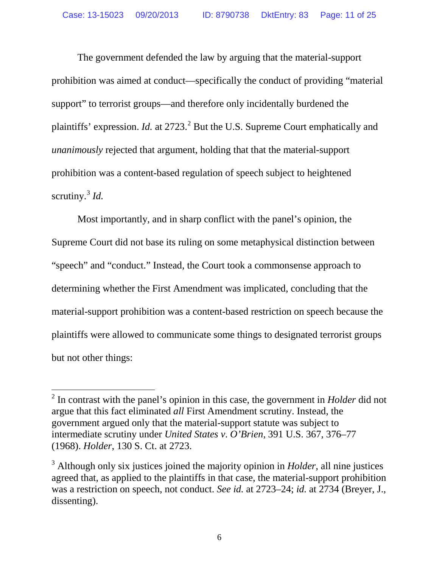The government defended the law by arguing that the material-support prohibition was aimed at conduct—specifically the conduct of providing "material support" to terrorist groups—and therefore only incidentally burdened the plaintiffs' expression. *Id.* at [2](#page-10-0)723.<sup>2</sup> But the U.S. Supreme Court emphatically and *unanimously* rejected that argument, holding that that the material-support prohibition was a content-based regulation of speech subject to heightened scrutiny.[3](#page-10-1) *Id.*

Most importantly, and in sharp conflict with the panel's opinion, the Supreme Court did not base its ruling on some metaphysical distinction between "speech" and "conduct." Instead, the Court took a commonsense approach to determining whether the First Amendment was implicated, concluding that the material-support prohibition was a content-based restriction on speech because the plaintiffs were allowed to communicate some things to designated terrorist groups but not other things:

 $\overline{a}$ 

<span id="page-10-0"></span><sup>2</sup> In contrast with the panel's opinion in this case, the government in *Holder* did not argue that this fact eliminated *all* First Amendment scrutiny. Instead, the government argued only that the material-support statute was subject to intermediate scrutiny under *United States v*. *O'Brien*, 391 U.S. 367, 376–77 (1968). *Holder*, 130 S. Ct. at 2723.

<span id="page-10-1"></span><sup>3</sup> Although only six justices joined the majority opinion in *Holder*, all nine justices agreed that, as applied to the plaintiffs in that case, the material-support prohibition was a restriction on speech, not conduct. *See id.* at 2723–24; *id.* at 2734 (Breyer, J., dissenting).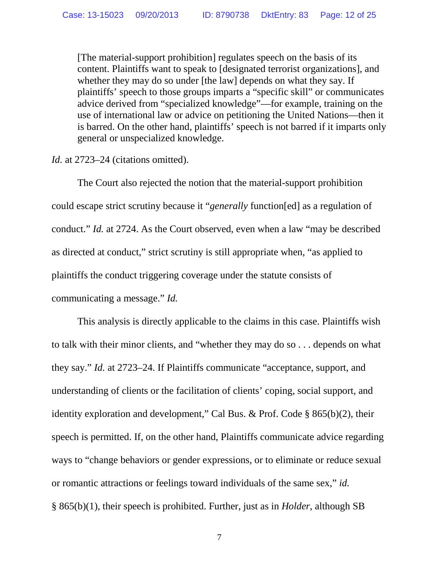[The material-support prohibition] regulates speech on the basis of its content. Plaintiffs want to speak to [designated terrorist organizations], and whether they may do so under [the law] depends on what they say. If plaintiffs' speech to those groups imparts a "specific skill" or communicates advice derived from "specialized knowledge"—for example, training on the use of international law or advice on petitioning the United Nations—then it is barred. On the other hand, plaintiffs' speech is not barred if it imparts only general or unspecialized knowledge.

### *Id.* at 2723–24 (citations omitted).

The Court also rejected the notion that the material-support prohibition could escape strict scrutiny because it "*generally* function[ed] as a regulation of conduct." *Id.* at 2724. As the Court observed, even when a law "may be described as directed at conduct," strict scrutiny is still appropriate when, "as applied to plaintiffs the conduct triggering coverage under the statute consists of communicating a message." *Id.*

This analysis is directly applicable to the claims in this case. Plaintiffs wish to talk with their minor clients, and "whether they may do so . . . depends on what they say." *Id.* at 2723–24. If Plaintiffs communicate "acceptance, support, and understanding of clients or the facilitation of clients' coping, social support, and identity exploration and development," Cal Bus. & Prof. Code § 865(b)(2), their speech is permitted. If, on the other hand, Plaintiffs communicate advice regarding ways to "change behaviors or gender expressions, or to eliminate or reduce sexual or romantic attractions or feelings toward individuals of the same sex," *id.* § 865(b)(1), their speech is prohibited. Further, just as in *Holder*, although SB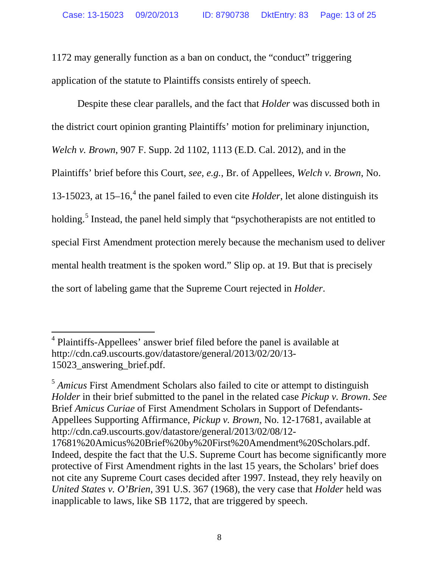1172 may generally function as a ban on conduct, the "conduct" triggering application of the statute to Plaintiffs consists entirely of speech.

Despite these clear parallels, and the fact that *Holder* was discussed both in the district court opinion granting Plaintiffs' motion for preliminary injunction, *Welch v. Brown*, 907 F. Supp. 2d 1102, 1113 (E.D. Cal. 2012), and in the Plaintiffs' brief before this Court, *see, e.g.*, Br. of Appellees, *Welch v. Brown*, No. 13-15023, at  $15-16$ , <sup>[4](#page-12-0)</sup> the panel failed to even cite *Holder*, let alone distinguish its holding.<sup>[5](#page-12-1)</sup> Instead, the panel held simply that "psychotherapists are not entitled to special First Amendment protection merely because the mechanism used to deliver mental health treatment is the spoken word." Slip op. at 19. But that is precisely the sort of labeling game that the Supreme Court rejected in *Holder*.

<span id="page-12-1"></span><sup>5</sup> *Amicus* First Amendment Scholars also failed to cite or attempt to distinguish *Holder* in their brief submitted to the panel in the related case *Pickup v. Brown*. *See* Brief *Amicus Curiae* of First Amendment Scholars in Support of Defendants-Appellees Supporting Affirmance, *Pickup v. Brown*, No. 12-17681, available at http://cdn.ca9.uscourts.gov/datastore/general/2013/02/08/12- 17681%20Amicus%20Brief%20by%20First%20Amendment%20Scholars.pdf. Indeed, despite the fact that the U.S. Supreme Court has become significantly more protective of First Amendment rights in the last 15 years, the Scholars' brief does not cite any Supreme Court cases decided after 1997. Instead, they rely heavily on *United States v. O'Brien*, 391 U.S. 367 (1968), the very case that *Holder* held was inapplicable to laws, like SB 1172, that are triggered by speech.

<span id="page-12-0"></span><sup>&</sup>lt;sup>4</sup> Plaintiffs-Appellees' answer brief filed before the panel is available at http://cdn.ca9.uscourts.gov/datastore/general/2013/02/20/13- 15023\_answering\_brief.pdf.  $\overline{a}$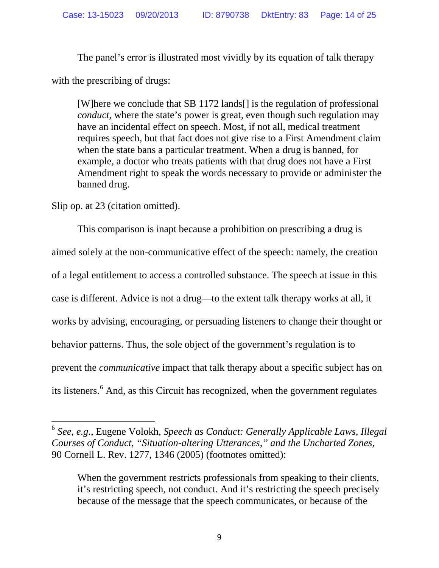The panel's error is illustrated most vividly by its equation of talk therapy

with the prescribing of drugs:

[W]here we conclude that SB 1172 lands[] is the regulation of professional *conduct*, where the state's power is great, even though such regulation may have an incidental effect on speech. Most, if not all, medical treatment requires speech, but that fact does not give rise to a First Amendment claim when the state bans a particular treatment. When a drug is banned, for example, a doctor who treats patients with that drug does not have a First Amendment right to speak the words necessary to provide or administer the banned drug.

Slip op. at 23 (citation omitted).

 $\overline{a}$ 

This comparison is inapt because a prohibition on prescribing a drug is aimed solely at the non-communicative effect of the speech: namely, the creation of a legal entitlement to access a controlled substance. The speech at issue in this case is different. Advice is not a drug—to the extent talk therapy works at all, it works by advising, encouraging, or persuading listeners to change their thought or behavior patterns. Thus, the sole object of the government's regulation is to prevent the *communicative* impact that talk therapy about a specific subject has on its listeners.<sup>[6](#page-13-0)</sup> And, as this Circuit has recognized, when the government regulates

<span id="page-13-0"></span><sup>6</sup> *See, e.g.*, Eugene Volokh, *Speech as Conduct: Generally Applicable Laws, Illegal Courses of Conduct, "Situation-altering Utterances," and the Uncharted Zones*, 90 Cornell L. Rev. 1277, 1346 (2005) (footnotes omitted):

When the government restricts professionals from speaking to their clients, it's restricting speech, not conduct. And it's restricting the speech precisely because of the message that the speech communicates, or because of the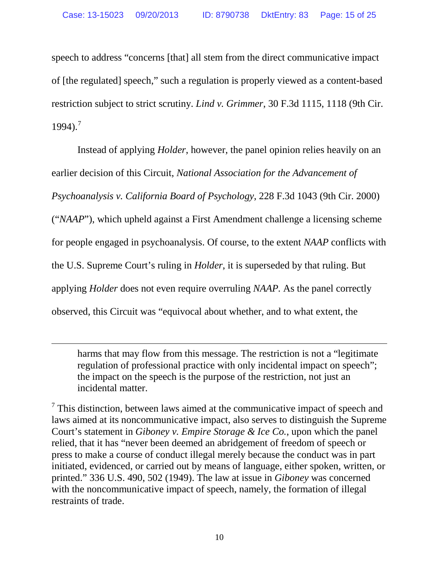speech to address "concerns [that] all stem from the direct communicative impact of [the regulated] speech," such a regulation is properly viewed as a content-based restriction subject to strict scrutiny. *Lind v. Grimmer*, 30 F.3d 1115, 1118 (9th Cir.  $1994$ ).<sup>[7](#page-14-0)</sup>

Instead of applying *Holder*, however, the panel opinion relies heavily on an earlier decision of this Circuit, *National Association for the Advancement of Psychoanalysis v. California Board of Psychology*, 228 F.3d 1043 (9th Cir. 2000) ("*NAAP*"), which upheld against a First Amendment challenge a licensing scheme for people engaged in psychoanalysis. Of course, to the extent *NAAP* conflicts with the U.S. Supreme Court's ruling in *Holder*, it is superseded by that ruling. But applying *Holder* does not even require overruling *NAAP.* As the panel correctly observed, this Circuit was "equivocal about whether, and to what extent, the

harms that may flow from this message. The restriction is not a "legitimate regulation of professional practice with only incidental impact on speech"; the impact on the speech is the purpose of the restriction, not just an incidental matter.

 $\overline{a}$ 

<span id="page-14-0"></span> $<sup>7</sup>$  This distinction, between laws aimed at the communicative impact of speech and</sup> laws aimed at its noncommunicative impact, also serves to distinguish the Supreme Court's statement in *Giboney v. Empire Storage & Ice Co.*, upon which the panel relied, that it has "never been deemed an abridgement of freedom of speech or press to make a course of conduct illegal merely because the conduct was in part initiated, evidenced, or carried out by means of language, either spoken, written, or printed." 336 U.S. 490, 502 (1949). The law at issue in *Giboney* was concerned with the noncommunicative impact of speech, namely, the formation of illegal restraints of trade.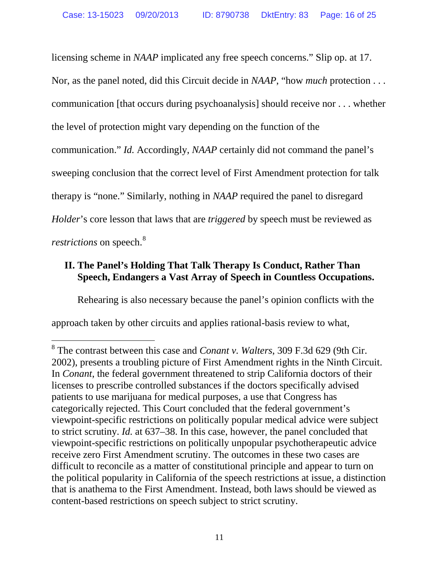licensing scheme in *NAAP* implicated any free speech concerns." Slip op. at 17. Nor, as the panel noted, did this Circuit decide in *NAAP*, "how *much* protection . . . communication [that occurs during psychoanalysis] should receive nor . . . whether the level of protection might vary depending on the function of the communication." *Id.* Accordingly, *NAAP* certainly did not command the panel's sweeping conclusion that the correct level of First Amendment protection for talk therapy is "none." Similarly, nothing in *NAAP* required the panel to disregard *Holder*'s core lesson that laws that are *triggered* by speech must be reviewed as *restrictions* on speech.<sup>[8](#page-15-0)</sup>

# **II. The Panel's Holding That Talk Therapy Is Conduct, Rather Than Speech, Endangers a Vast Array of Speech in Countless Occupations.**

Rehearing is also necessary because the panel's opinion conflicts with the

approach taken by other circuits and applies rational-basis review to what,

 $\overline{a}$ 

<span id="page-15-0"></span><sup>8</sup> The contrast between this case and *Conant v. Walters*, 309 F.3d 629 (9th Cir. 2002), presents a troubling picture of First Amendment rights in the Ninth Circuit. In *Conant*, the federal government threatened to strip California doctors of their licenses to prescribe controlled substances if the doctors specifically advised patients to use marijuana for medical purposes, a use that Congress has categorically rejected. This Court concluded that the federal government's viewpoint-specific restrictions on politically popular medical advice were subject to strict scrutiny. *Id.* at 637–38. In this case, however, the panel concluded that viewpoint-specific restrictions on politically unpopular psychotherapeutic advice receive zero First Amendment scrutiny. The outcomes in these two cases are difficult to reconcile as a matter of constitutional principle and appear to turn on the political popularity in California of the speech restrictions at issue, a distinction that is anathema to the First Amendment. Instead, both laws should be viewed as content-based restrictions on speech subject to strict scrutiny.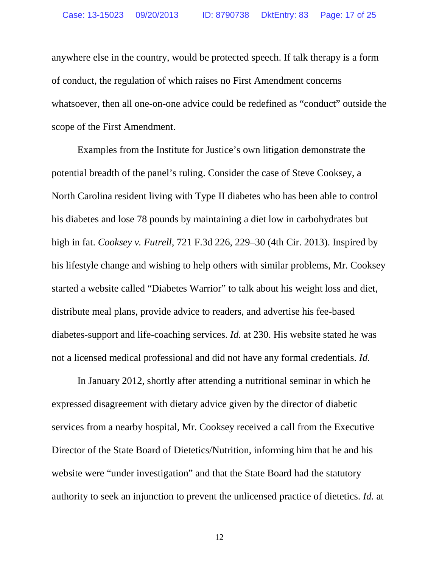anywhere else in the country, would be protected speech. If talk therapy is a form of conduct, the regulation of which raises no First Amendment concerns whatsoever, then all one-on-one advice could be redefined as "conduct" outside the scope of the First Amendment.

Examples from the Institute for Justice's own litigation demonstrate the potential breadth of the panel's ruling. Consider the case of Steve Cooksey, a North Carolina resident living with Type II diabetes who has been able to control his diabetes and lose 78 pounds by maintaining a diet low in carbohydrates but high in fat. *Cooksey v. Futrell*, 721 F.3d 226, 229–30 (4th Cir. 2013). Inspired by his lifestyle change and wishing to help others with similar problems, Mr. Cooksey started a website called "Diabetes Warrior" to talk about his weight loss and diet, distribute meal plans, provide advice to readers, and advertise his fee-based diabetes-support and life-coaching services. *Id.* at 230. His website stated he was not a licensed medical professional and did not have any formal credentials. *Id.* 

In January 2012, shortly after attending a nutritional seminar in which he expressed disagreement with dietary advice given by the director of diabetic services from a nearby hospital, Mr. Cooksey received a call from the Executive Director of the State Board of Dietetics/Nutrition, informing him that he and his website were "under investigation" and that the State Board had the statutory authority to seek an injunction to prevent the unlicensed practice of dietetics. *Id.* at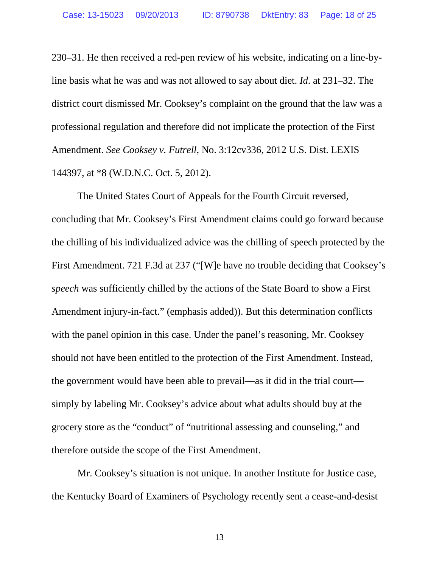230–31. He then received a red-pen review of his website, indicating on a line-byline basis what he was and was not allowed to say about diet. *Id*. at 231–32. The district court dismissed Mr. Cooksey's complaint on the ground that the law was a professional regulation and therefore did not implicate the protection of the First Amendment. *See Cooksey v. Futrell*, No. 3:12cv336, 2012 U.S. Dist. LEXIS 144397, at \*8 (W.D.N.C. Oct. 5, 2012).

The United States Court of Appeals for the Fourth Circuit reversed, concluding that Mr. Cooksey's First Amendment claims could go forward because the chilling of his individualized advice was the chilling of speech protected by the First Amendment. 721 F.3d at 237 ("[W]e have no trouble deciding that Cooksey's *speech* was sufficiently chilled by the actions of the State Board to show a First Amendment injury-in-fact." (emphasis added)). But this determination conflicts with the panel opinion in this case. Under the panel's reasoning, Mr. Cooksey should not have been entitled to the protection of the First Amendment. Instead, the government would have been able to prevail—as it did in the trial court simply by labeling Mr. Cooksey's advice about what adults should buy at the grocery store as the "conduct" of "nutritional assessing and counseling," and therefore outside the scope of the First Amendment.

Mr. Cooksey's situation is not unique. In another Institute for Justice case, the Kentucky Board of Examiners of Psychology recently sent a cease-and-desist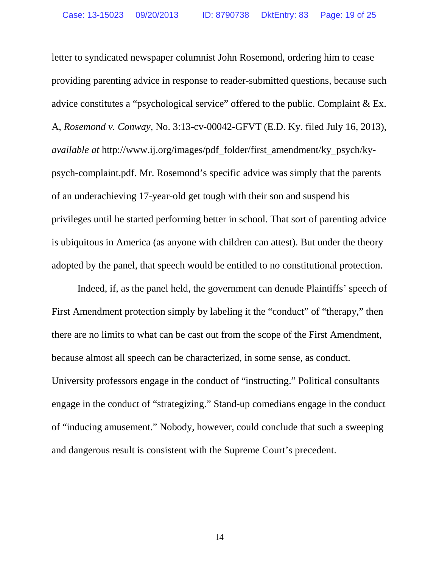letter to syndicated newspaper columnist John Rosemond, ordering him to cease providing parenting advice in response to reader-submitted questions, because such advice constitutes a "psychological service" offered to the public. Complaint & Ex. A, *Rosemond v. Conway*, No. 3:13-cv-00042-GFVT (E.D. Ky. filed July 16, 2013), *available at* http://www.ij.org/images/pdf\_folder/first\_amendment/ky\_psych/kypsych-complaint.pdf. Mr. Rosemond's specific advice was simply that the parents of an underachieving 17-year-old get tough with their son and suspend his privileges until he started performing better in school. That sort of parenting advice is ubiquitous in America (as anyone with children can attest). But under the theory adopted by the panel, that speech would be entitled to no constitutional protection.

Indeed, if, as the panel held, the government can denude Plaintiffs' speech of First Amendment protection simply by labeling it the "conduct" of "therapy," then there are no limits to what can be cast out from the scope of the First Amendment, because almost all speech can be characterized, in some sense, as conduct. University professors engage in the conduct of "instructing." Political consultants engage in the conduct of "strategizing." Stand-up comedians engage in the conduct of "inducing amusement." Nobody, however, could conclude that such a sweeping and dangerous result is consistent with the Supreme Court's precedent.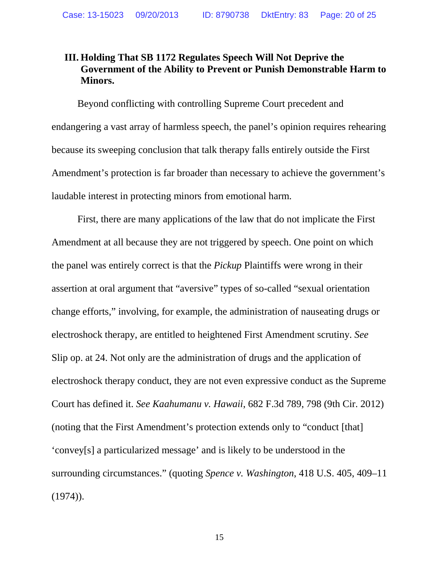# **III. Holding That SB 1172 Regulates Speech Will Not Deprive the Government of the Ability to Prevent or Punish Demonstrable Harm to Minors.**

Beyond conflicting with controlling Supreme Court precedent and endangering a vast array of harmless speech, the panel's opinion requires rehearing because its sweeping conclusion that talk therapy falls entirely outside the First Amendment's protection is far broader than necessary to achieve the government's laudable interest in protecting minors from emotional harm.

First, there are many applications of the law that do not implicate the First Amendment at all because they are not triggered by speech. One point on which the panel was entirely correct is that the *Pickup* Plaintiffs were wrong in their assertion at oral argument that "aversive" types of so-called "sexual orientation change efforts," involving, for example, the administration of nauseating drugs or electroshock therapy, are entitled to heightened First Amendment scrutiny. *See*  Slip op. at 24. Not only are the administration of drugs and the application of electroshock therapy conduct, they are not even expressive conduct as the Supreme Court has defined it. *See Kaahumanu v. Hawaii*, 682 F.3d 789, 798 (9th Cir. 2012) (noting that the First Amendment's protection extends only to "conduct [that] 'convey[s] a particularized message' and is likely to be understood in the surrounding circumstances." (quoting *Spence v. Washington*, 418 U.S. 405, 409–11  $(1974)$ .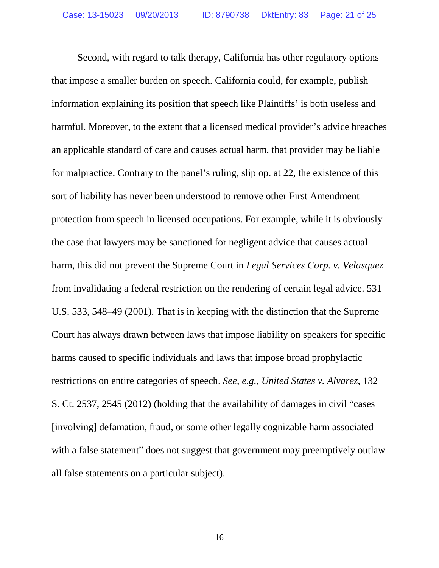Second, with regard to talk therapy, California has other regulatory options that impose a smaller burden on speech. California could, for example, publish information explaining its position that speech like Plaintiffs' is both useless and harmful. Moreover, to the extent that a licensed medical provider's advice breaches an applicable standard of care and causes actual harm, that provider may be liable for malpractice. Contrary to the panel's ruling, slip op. at 22, the existence of this sort of liability has never been understood to remove other First Amendment protection from speech in licensed occupations. For example, while it is obviously the case that lawyers may be sanctioned for negligent advice that causes actual harm, this did not prevent the Supreme Court in *Legal Services Corp. v. Velasquez* from invalidating a federal restriction on the rendering of certain legal advice. 531 U.S. 533, 548–49 (2001). That is in keeping with the distinction that the Supreme Court has always drawn between laws that impose liability on speakers for specific harms caused to specific individuals and laws that impose broad prophylactic restrictions on entire categories of speech. *See, e.g.*, *United States v. Alvarez*, 132 S. Ct. 2537, 2545 (2012) (holding that the availability of damages in civil "cases [involving] defamation, fraud, or some other legally cognizable harm associated with a false statement" does not suggest that government may preemptively outlaw all false statements on a particular subject).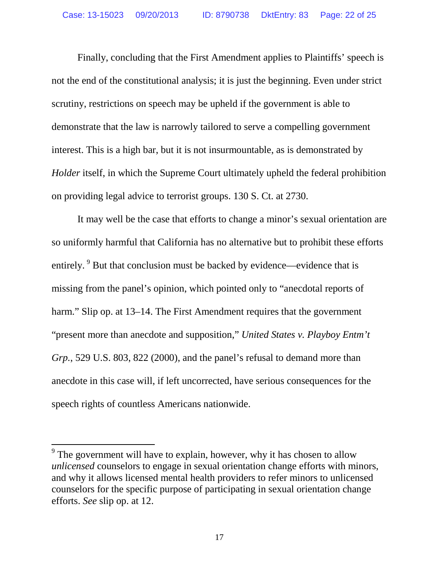Finally, concluding that the First Amendment applies to Plaintiffs' speech is not the end of the constitutional analysis; it is just the beginning. Even under strict scrutiny, restrictions on speech may be upheld if the government is able to demonstrate that the law is narrowly tailored to serve a compelling government interest. This is a high bar, but it is not insurmountable, as is demonstrated by *Holder* itself, in which the Supreme Court ultimately upheld the federal prohibition on providing legal advice to terrorist groups. 130 S. Ct. at 2730.

It may well be the case that efforts to change a minor's sexual orientation are so uniformly harmful that California has no alternative but to prohibit these efforts entirely. <sup>[9](#page-21-0)</sup> But that conclusion must be backed by evidence—evidence that is missing from the panel's opinion, which pointed only to "anecdotal reports of harm." Slip op. at 13–14. The First Amendment requires that the government "present more than anecdote and supposition," *United States v. Playboy Entm't Grp.*, 529 U.S. 803, 822 (2000), and the panel's refusal to demand more than anecdote in this case will, if left uncorrected, have serious consequences for the speech rights of countless Americans nationwide.

 $\overline{a}$ 

<span id="page-21-0"></span><sup>&</sup>lt;sup>9</sup> The government will have to explain, however, why it has chosen to allow *unlicensed* counselors to engage in sexual orientation change efforts with minors, and why it allows licensed mental health providers to refer minors to unlicensed counselors for the specific purpose of participating in sexual orientation change efforts. *See* slip op. at 12.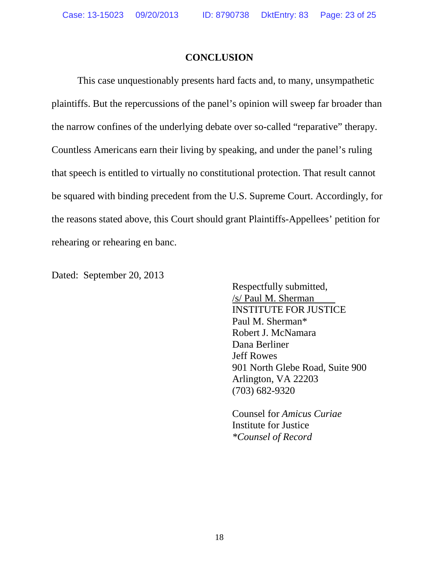### **CONCLUSION**

This case unquestionably presents hard facts and, to many, unsympathetic plaintiffs. But the repercussions of the panel's opinion will sweep far broader than the narrow confines of the underlying debate over so-called "reparative" therapy. Countless Americans earn their living by speaking, and under the panel's ruling that speech is entitled to virtually no constitutional protection. That result cannot be squared with binding precedent from the U.S. Supreme Court. Accordingly, for the reasons stated above, this Court should grant Plaintiffs-Appellees' petition for rehearing or rehearing en banc.

Dated: September 20, 2013

Respectfully submitted, /s/ Paul M. Sherman INSTITUTE FOR JUSTICE Paul M. Sherman\* Robert J. McNamara Dana Berliner Jeff Rowes 901 North Glebe Road, Suite 900 Arlington, VA 22203 (703) 682-9320

Counsel for *Amicus Curiae* Institute for Justice *\*Counsel of Record*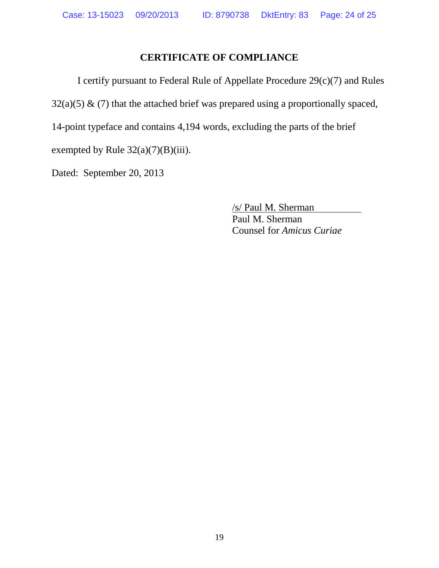# **CERTIFICATE OF COMPLIANCE**

I certify pursuant to Federal Rule of Appellate Procedure 29(c)(7) and Rules

 $32(a)(5)$  & (7) that the attached brief was prepared using a proportionally spaced,

14-point typeface and contains 4,194 words, excluding the parts of the brief

exempted by Rule  $32(a)(7)(B)(iii)$ .

Dated: September 20, 2013

/s/ Paul M. Sherman Paul M. Sherman Counsel for *Amicus Curiae*